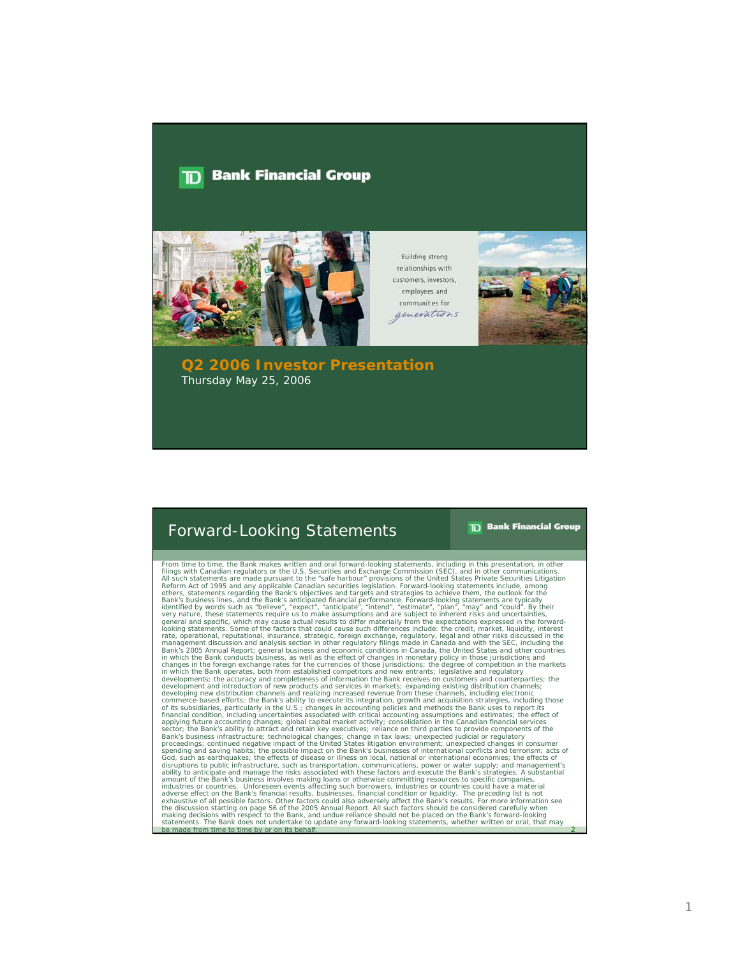## **Bank Financial Group**  $\mathbf{D}$



**Building strong** relationships with customers, investors, employees and communities for generations



**Q2 2006 Investor Presentation** Thursday May 25, 2006

## Forward-Looking Statements

**TD** Bank Financial Group

2

From time to time, the Bank makes written and oral forward-looking statements, including in this presentation, in other comminications.<br>Filings with Canadian regulators or the U.S. Securities and Exchange Commission (SEC), commerce-based efforts; the Bank's ability to execute its integration, growth and acquisition strategies, including those of its subsidiaries, protiding the U.S.; changes in accounting policies and methods the Bank uses to industries or countries. Unforeseen events affecting such bororowers, industries or countries could have a material<br>adverse effect on the Bank's financial results, businesses, financial condition or liquidity. The precedin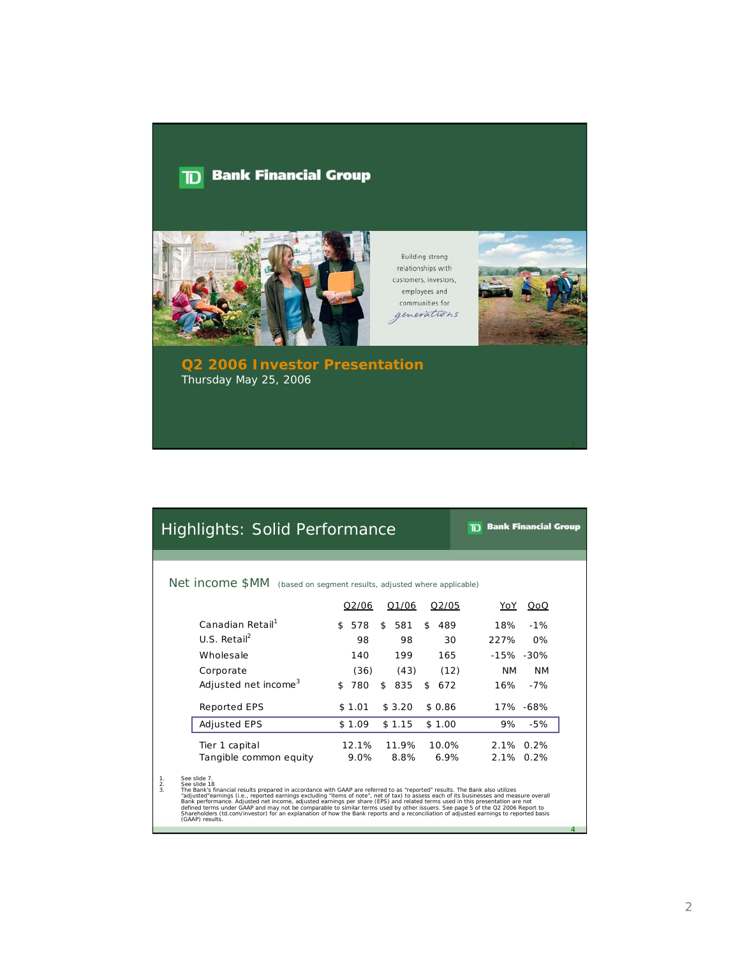## **TD** Bank Financial Group



**Building strong** relationships with customers, investors, employees and communities for generations



**Q2 2006 Investor Presentation** Thursday May 25, 2006

## Highlights: Solid Performance

**TD** Bank Financial Group

4

Net income \$MM (based on segment results, adjusted where applicable)

|                                  | Q2/06      | Q1/06<br>Q2/05         | YoY<br>QoQ             |
|----------------------------------|------------|------------------------|------------------------|
| Canadian Retail <sup>1</sup>     | 578<br>\$  | \$<br>581<br>\$<br>489 | 18%<br>$-1%$           |
| $U.S.$ Retail <sup>2</sup>       | 98         | 98<br>30               | 227%<br>$0\%$          |
| Wholesale                        | 140        | 199<br>165             | $-15\% - 30\%$         |
| Corporate                        | (36)       | (43)<br>(12)           | <b>NM</b><br><b>NM</b> |
| Adjusted net income <sup>3</sup> | 780<br>\$. | 835<br>\$<br>672<br>\$ | 16%<br>$-7%$           |
| Reported EPS                     | \$1.01     | \$3.20<br>\$0.86       | 17% -68%               |
| <b>Adjusted EPS</b>              | \$1.09     | \$1.15<br>\$1.00       | $-5%$<br>9%            |
| Tier 1 capital                   | 12.1%      | 11.9%<br>10.0%         | 2.1% 0.2%              |
| Tangible common equity           | 9.0%       | 8.8%<br>6.9%           | 2.1% 0.2%              |

1.<br>
See slide 7.<br>
See slide 18<br>
See slide 18<br>
See slide 18<br>
See slide 18<br>
See slide 18<br>
and the control examings excluding "items of note", net of tax) to assess each of its businesses and measure overall<br>
"adjusted" earni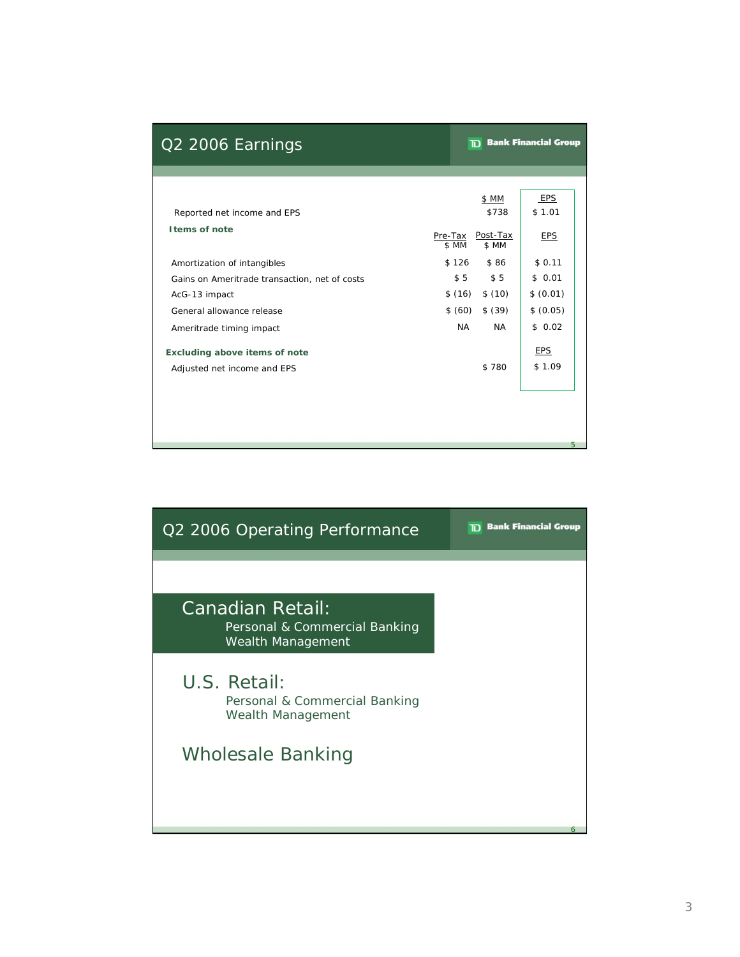|                  | <b>TD</b> Bank Financial Group |                                          |  |  |  |
|------------------|--------------------------------|------------------------------------------|--|--|--|
|                  |                                |                                          |  |  |  |
|                  | \$ MM<br>\$738                 | EPS<br>\$1.01                            |  |  |  |
| Pre-Tax<br>\$ MM | Post-Tax<br>\$ MM              | <b>EPS</b>                               |  |  |  |
|                  | \$86                           | \$0.11                                   |  |  |  |
|                  | \$5                            | \$0.01                                   |  |  |  |
|                  |                                | \$ (0.01)                                |  |  |  |
|                  | \$ (39)                        | \$ (0.05)                                |  |  |  |
| <b>NA</b>        | <b>NA</b>                      | \$0.02                                   |  |  |  |
|                  |                                | <b>EPS</b>                               |  |  |  |
|                  | \$780                          | \$1.09                                   |  |  |  |
|                  |                                |                                          |  |  |  |
|                  |                                |                                          |  |  |  |
|                  |                                | 5                                        |  |  |  |
|                  |                                | \$126<br>\$5<br>\$(16) \$(10)<br>\$ (60) |  |  |  |

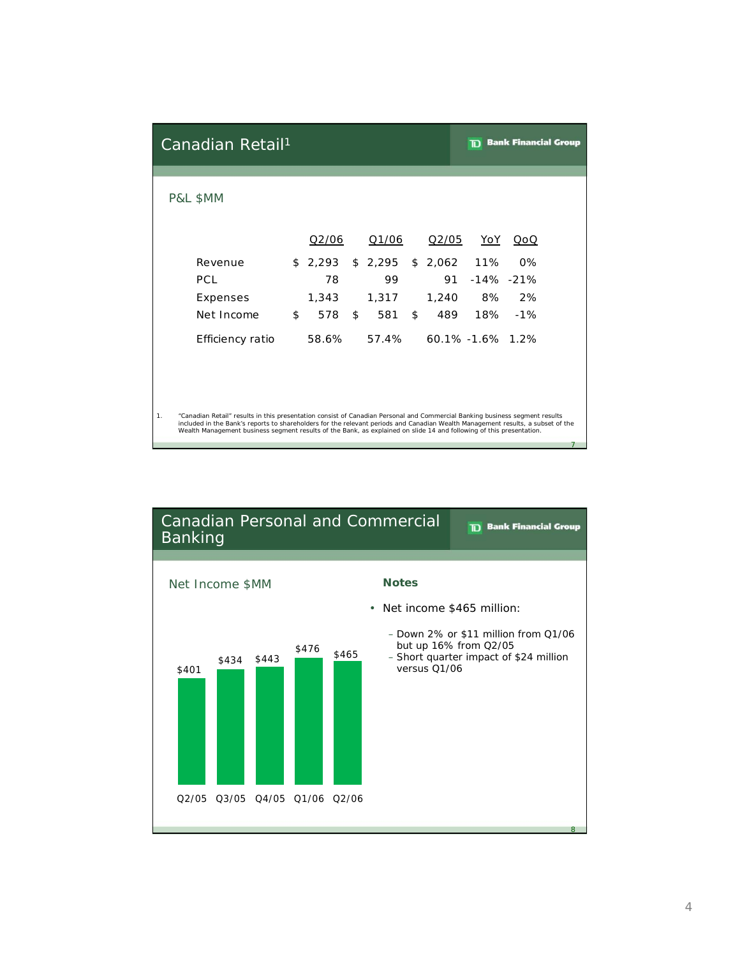|    | Canadian Retail <sup>1</sup>                                                                                                                                                                                                                            |           |           |           |                  | <b>Bank Financial Group</b> |
|----|---------------------------------------------------------------------------------------------------------------------------------------------------------------------------------------------------------------------------------------------------------|-----------|-----------|-----------|------------------|-----------------------------|
|    | P&L \$MM                                                                                                                                                                                                                                                |           |           |           |                  |                             |
|    |                                                                                                                                                                                                                                                         | Q2/06     | Q1/06     | Q2/05     | <u>YoY</u>       | QoQ                         |
|    | Revenue                                                                                                                                                                                                                                                 | \$2,293   | \$2,295   | \$2,062   | 11%              | $0\%$                       |
|    | <b>PCL</b>                                                                                                                                                                                                                                              | 78        | 99        | 91        |                  | $-14\% -21\%$               |
|    | Expenses                                                                                                                                                                                                                                                | 1,343     | 1,317     | 1,240     | 8%               | 2%                          |
|    | Net Income                                                                                                                                                                                                                                              | \$<br>578 | \$<br>581 | \$<br>489 | 18%              | $-1%$                       |
|    | Efficiency ratio                                                                                                                                                                                                                                        | 58.6%     | 57.4%     |           | 60.1% -1.6% 1.2% |                             |
| 1. | "Canadian Retail" results in this presentation consist of Canadian Personal and Commercial Banking business segment results                                                                                                                             |           |           |           |                  |                             |
|    | included in the Bank's reports to shareholders for the relevant periods and Canadian Wealth Management results, a subset of the<br>Wealth Management business segment results of the Bank, as explained on slide 14 and following of this presentation. |           |           |           |                  |                             |

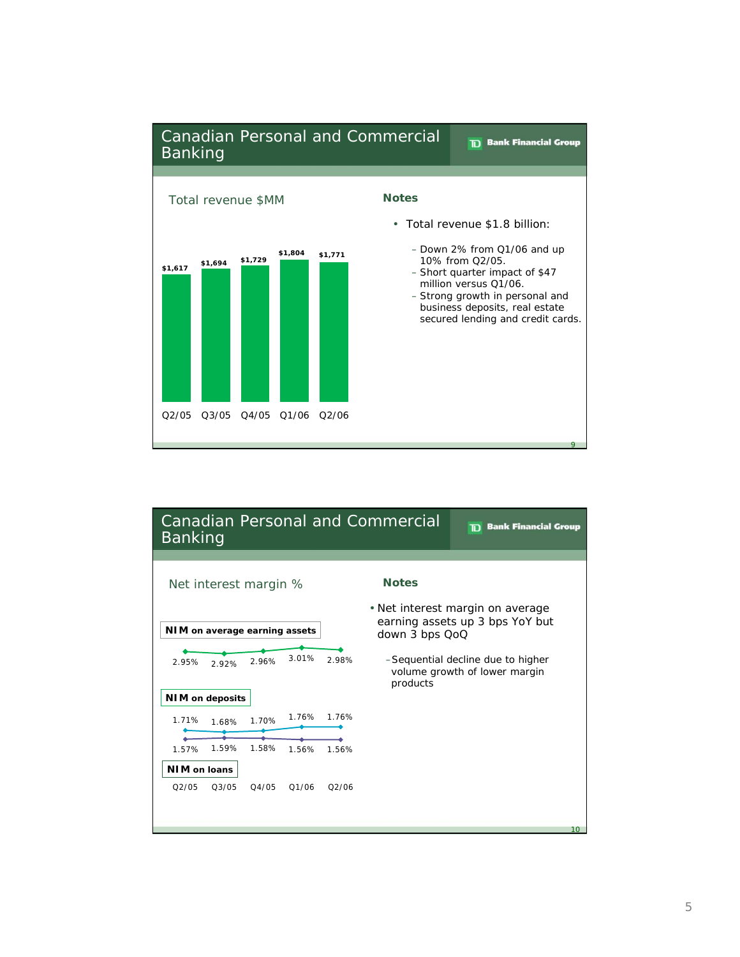

| <b>Canadian Personal and Commercial</b><br>Banking | <b>TD</b> Bank Financial Group                                                 |
|----------------------------------------------------|--------------------------------------------------------------------------------|
|                                                    |                                                                                |
| Net interest margin %                              | <b>Notes</b>                                                                   |
|                                                    | • Net interest margin on average                                               |
|                                                    | earning assets up 3 bps YoY but                                                |
| NIM on average earning assets                      | down 3 bps QoQ                                                                 |
|                                                    |                                                                                |
| 3.01%<br>298%<br>2.96%<br>2.95%<br>2.92%           | -Sequential decline due to higher<br>volume growth of lower margin<br>products |
| <b>NIM</b> on deposits                             |                                                                                |
| 1.76%<br>1.76%<br>1.71%<br>1.70%<br>1.68%          |                                                                                |
|                                                    |                                                                                |
| 1.59%<br>1.58%<br>1.57%<br>1.56%<br>1.56%          |                                                                                |
| NIM on loans                                       |                                                                                |
| O2/05<br>03/05<br>04/05<br>01/06<br>O2/06          |                                                                                |
|                                                    |                                                                                |
|                                                    |                                                                                |
|                                                    | 10                                                                             |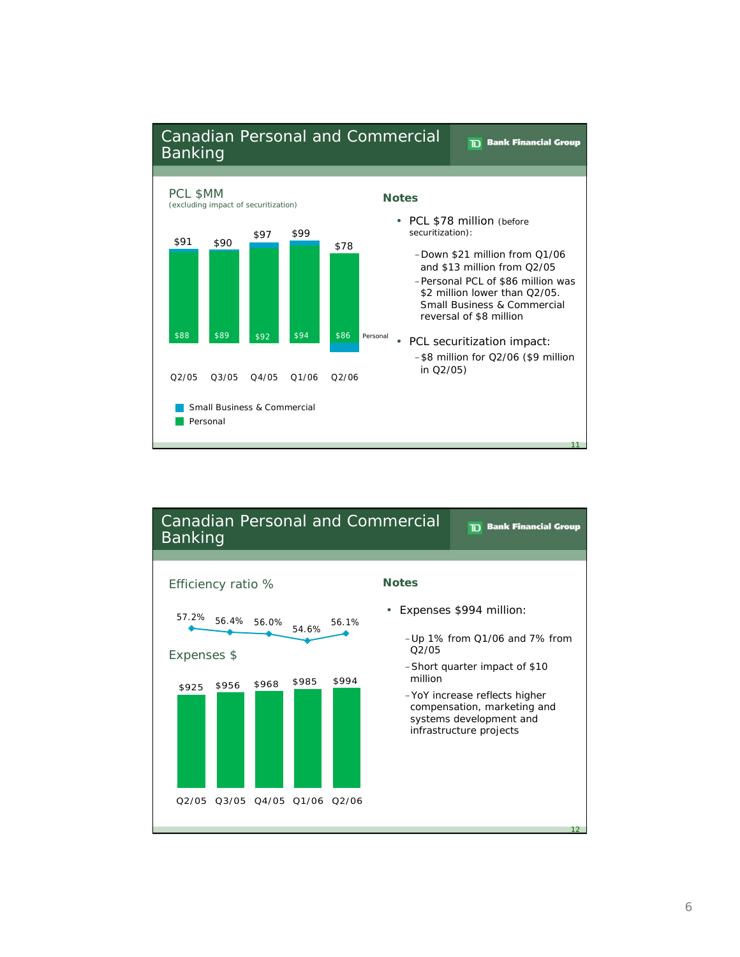

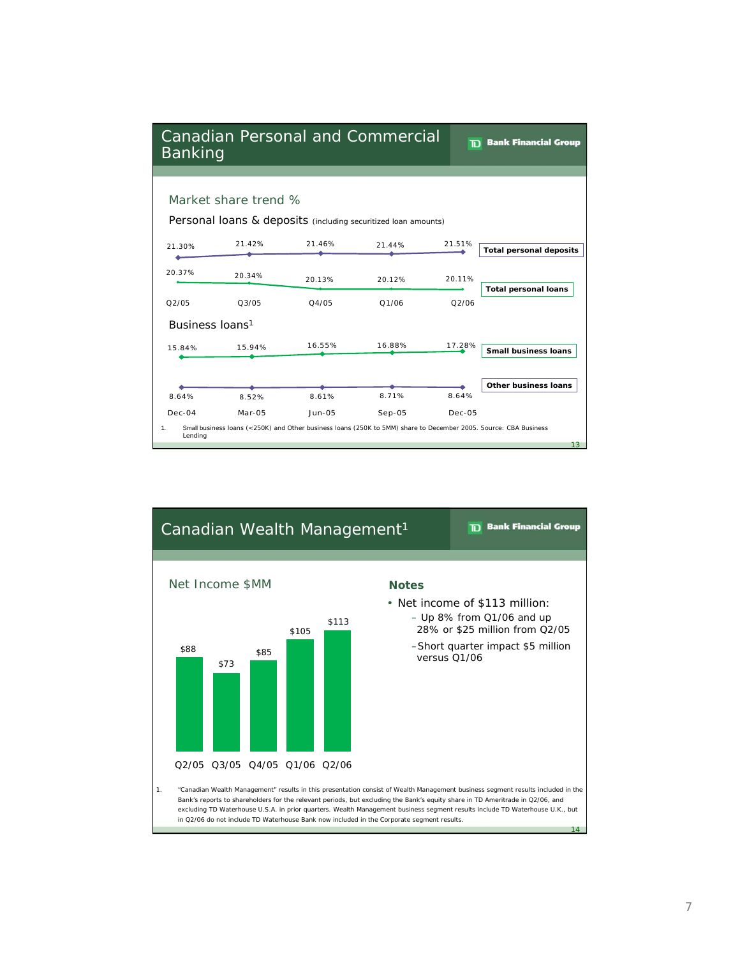| <b>Banking</b>                                                                         | <b>Canadian Personal and Commercial</b> | m.     | <b>Bank Financial Group</b>                                                                                      |        |                                |  |  |  |
|----------------------------------------------------------------------------------------|-----------------------------------------|--------|------------------------------------------------------------------------------------------------------------------|--------|--------------------------------|--|--|--|
|                                                                                        |                                         |        |                                                                                                                  |        |                                |  |  |  |
| Market share trend %<br>Personal loans & deposits (including securitized loan amounts) |                                         |        |                                                                                                                  |        |                                |  |  |  |
| 21.30%                                                                                 | 21.42%                                  | 21.46% | 21.44%                                                                                                           | 21.51% | <b>Total personal deposits</b> |  |  |  |
| 20.37%                                                                                 | 20.34%                                  | 20.13% | 20.12%                                                                                                           | 20.11% | <b>Total personal loans</b>    |  |  |  |
| O2/05                                                                                  | 03/05                                   | 04/05  | 01/06                                                                                                            | 02/06  |                                |  |  |  |
| Business loans <sup>1</sup>                                                            |                                         |        |                                                                                                                  |        |                                |  |  |  |
| 15.84%                                                                                 | 15.94%                                  | 16.55% | 16.88%                                                                                                           | 17.28% | <b>Small business loans</b>    |  |  |  |
|                                                                                        |                                         |        |                                                                                                                  |        |                                |  |  |  |
|                                                                                        |                                         |        |                                                                                                                  |        | Other business loans           |  |  |  |
| 8.64%                                                                                  | 8.52%                                   | 8.61%  | 8.71%                                                                                                            | 8.64%  |                                |  |  |  |
| $Dec-04$                                                                               | $Mar-05$                                | Jun-05 | $Sep-05$                                                                                                         | Dec-05 |                                |  |  |  |
| 1.<br>Lending                                                                          |                                         |        | Small business loans (<250K) and Other business loans (250K to 5MM) share to December 2005. Source: CBA Business |        | 13                             |  |  |  |

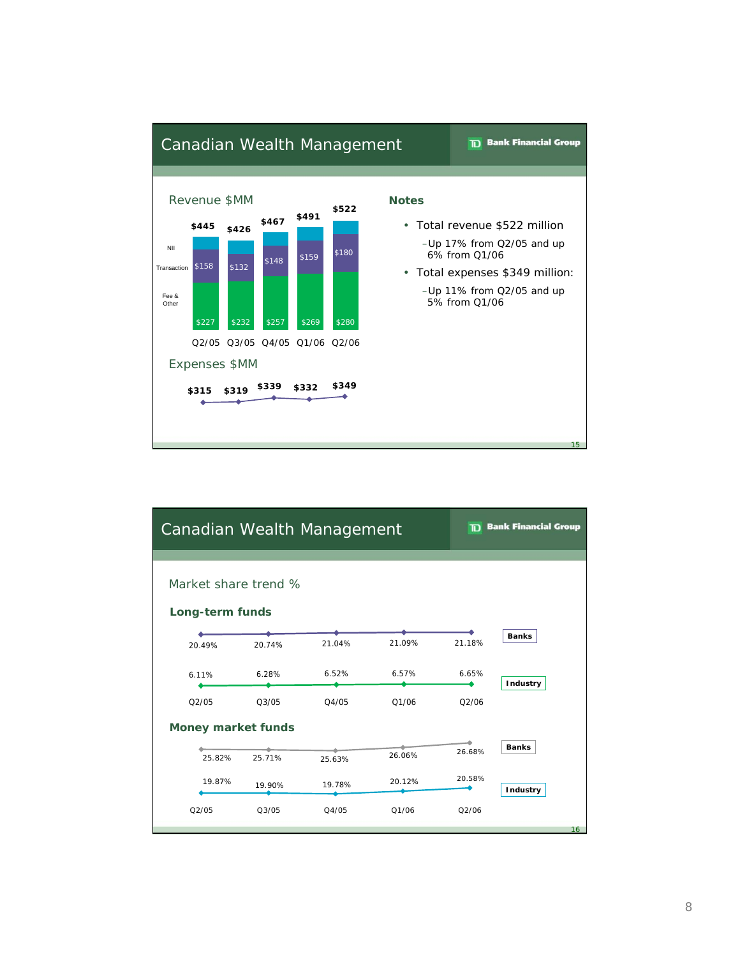

| Canadian Wealth Management              |        |        | <b>TD</b> Bank Financial Group |        |                 |  |  |  |  |
|-----------------------------------------|--------|--------|--------------------------------|--------|-----------------|--|--|--|--|
| Market share trend %<br>Long-term funds |        |        |                                |        |                 |  |  |  |  |
|                                         |        | 21.04% | 21.09%                         | 21.18% | <b>Banks</b>    |  |  |  |  |
| 20.49%                                  | 20.74% |        |                                |        |                 |  |  |  |  |
| 6.11%                                   | 6.28%  | 6.52%  | 6.57%                          | 6.65%  | Industry        |  |  |  |  |
| Q2/05                                   | Q3/05  | Q4/05  | Q1/06                          | Q2/06  |                 |  |  |  |  |
| <b>Money market funds</b>               |        |        |                                |        |                 |  |  |  |  |
| 25.82%                                  | 25.71% | 25.63% | 26.06%                         | 26.68% | <b>Banks</b>    |  |  |  |  |
| 19.87%                                  | 19.90% | 19.78% | 20.12%                         | 20.58% | Industry        |  |  |  |  |
| Q2/05                                   | Q3/05  | Q4/05  | Q1/06                          | Q2/06  |                 |  |  |  |  |
|                                         |        |        |                                |        | 16 <sup>1</sup> |  |  |  |  |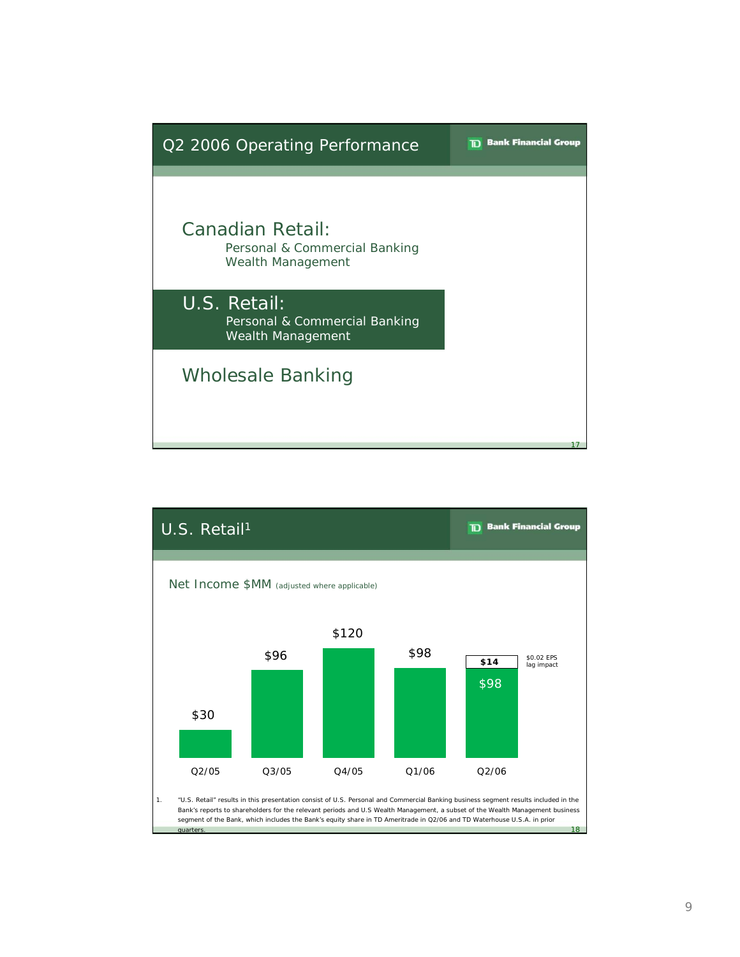

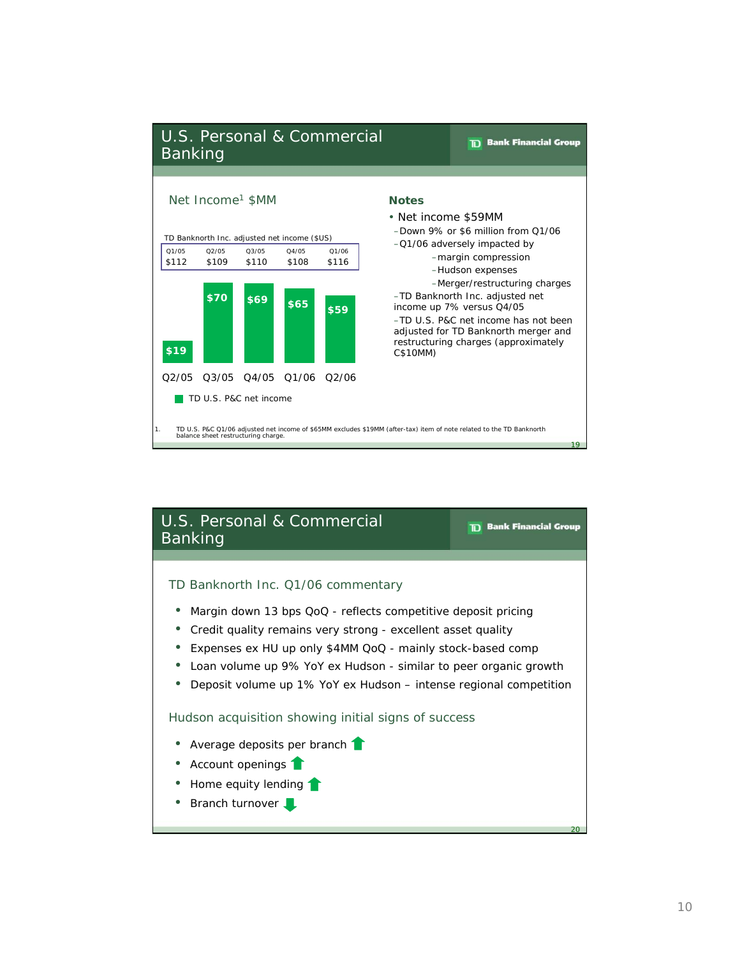

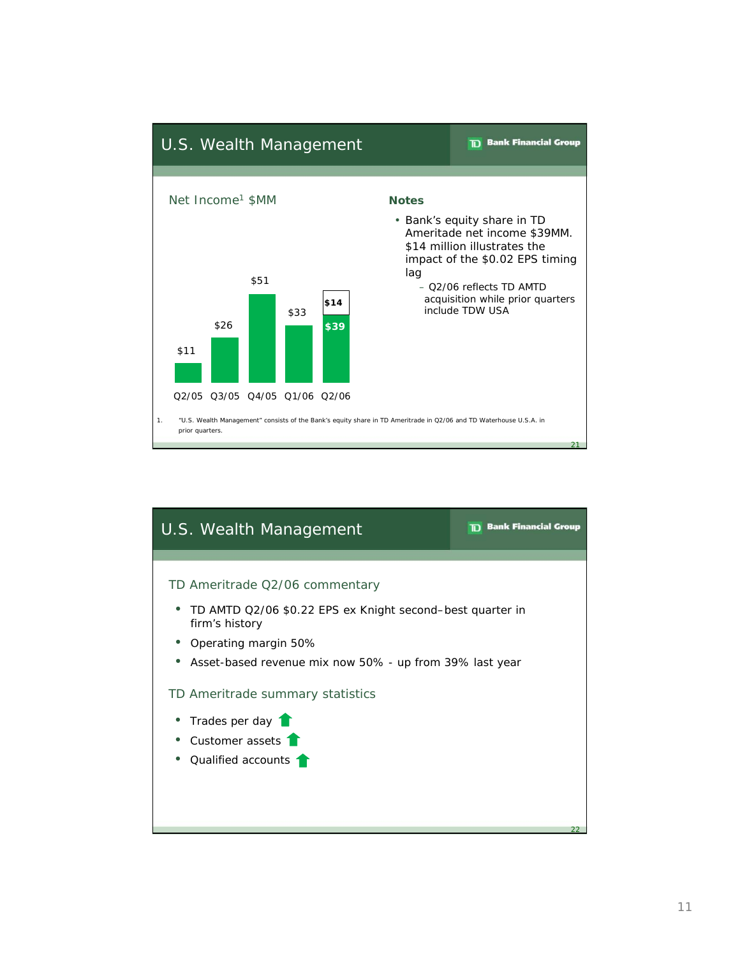

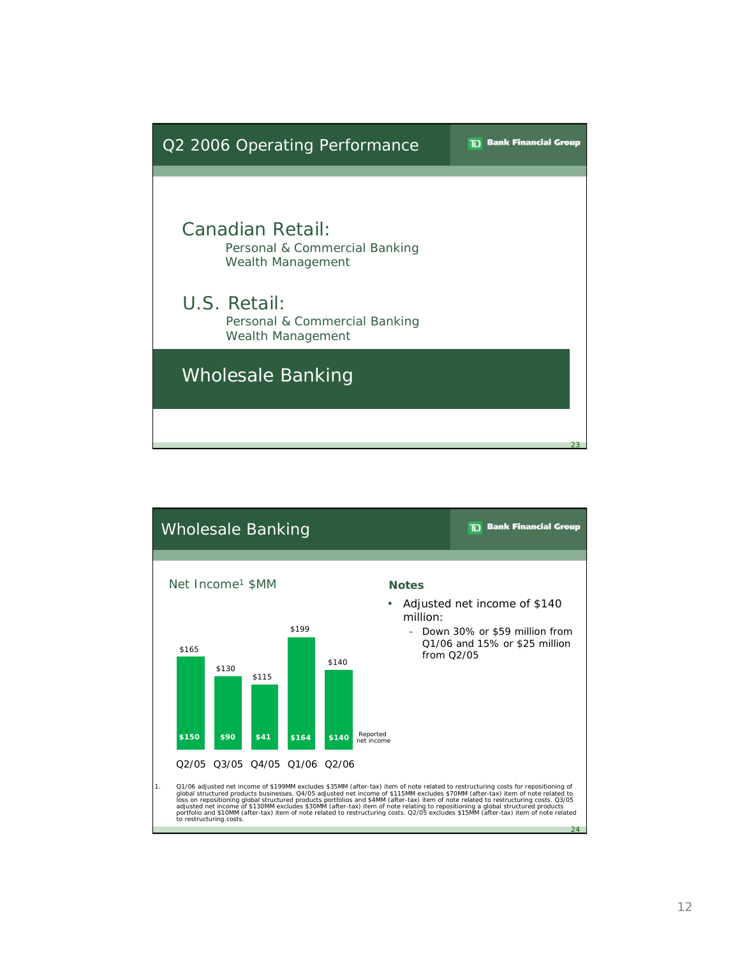

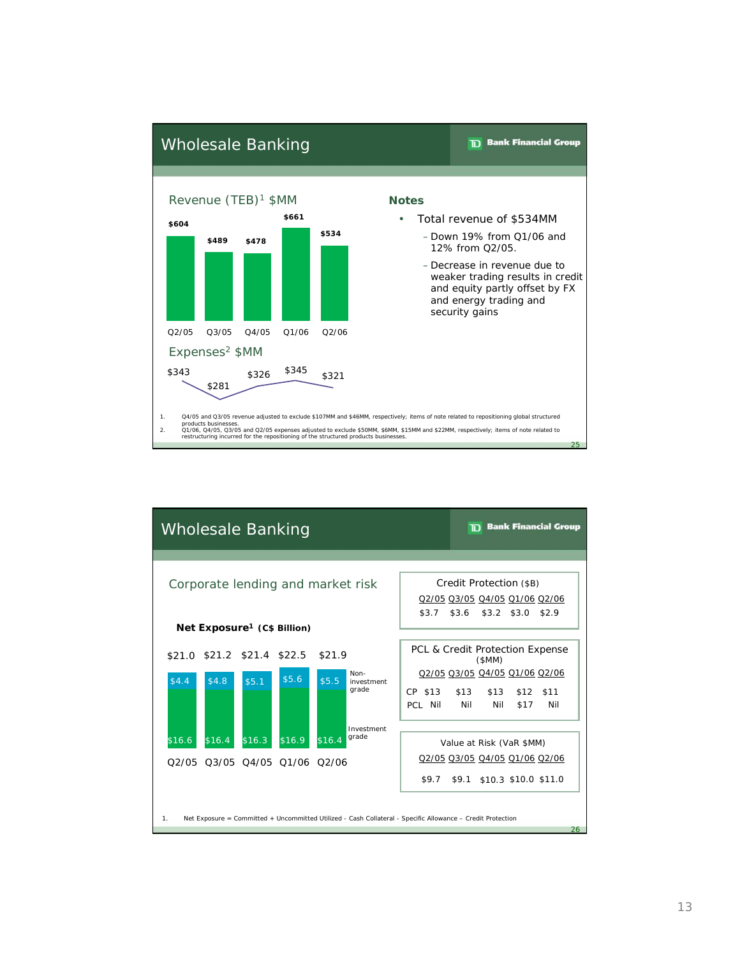

| <b>Bank Financial Group</b><br><b>Wholesale Banking</b>      |                                         |        |        |                                                                                                            |         |                               |                               |      |                                 |
|--------------------------------------------------------------|-----------------------------------------|--------|--------|------------------------------------------------------------------------------------------------------------|---------|-------------------------------|-------------------------------|------|---------------------------------|
|                                                              |                                         |        |        |                                                                                                            |         |                               |                               |      |                                 |
| Credit Protection (\$B)<br>Corporate lending and market risk |                                         |        |        |                                                                                                            |         |                               |                               |      |                                 |
|                                                              |                                         |        |        |                                                                                                            |         | Q2/05 Q3/05 Q4/05 Q1/06 Q2/06 |                               |      |                                 |
|                                                              |                                         |        |        |                                                                                                            | \$3.7   | \$3.6                         | \$3.2 \$3.0                   |      | \$2.9                           |
|                                                              | Net Exposure <sup>1</sup> (C\$ Billion) |        |        |                                                                                                            |         |                               |                               |      |                                 |
| \$21.0 \$21.2 \$21.4 \$22.5 \$21.9                           |                                         |        |        |                                                                                                            |         |                               | (SMM)                         |      | PCL & Credit Protection Expense |
| \$4.4                                                        |                                         | \$5.6  |        | Non-                                                                                                       |         |                               | Q2/05 Q3/05 Q4/05 Q1/06 Q2/06 |      |                                 |
| \$4.8                                                        | \$5.1                                   |        | \$5.5  | investment<br>grade                                                                                        | CP \$13 | \$13                          | \$13                          | \$12 | \$11                            |
|                                                              |                                         |        |        |                                                                                                            | PCL Nil | Nil                           | Nil                           | \$17 | Nil                             |
|                                                              |                                         |        |        | Investment                                                                                                 |         |                               |                               |      |                                 |
| \$16.4<br>\$16.6                                             | \$16.3                                  | \$16.9 | \$16.4 | grade                                                                                                      |         |                               | Value at Risk (VaR \$MM)      |      |                                 |
| 02/05 03/05 04/05 01/06 02/06                                |                                         |        |        |                                                                                                            |         |                               | Q2/05 Q3/05 Q4/05 Q1/06 Q2/06 |      |                                 |
|                                                              |                                         |        |        |                                                                                                            | \$9.7   |                               | \$9.1 \$10.3 \$10.0 \$11.0    |      |                                 |
|                                                              |                                         |        |        |                                                                                                            |         |                               |                               |      |                                 |
| 1.                                                           |                                         |        |        | Net Exposure = Committed + Uncommitted Utilized - Cash Collateral - Specific Allowance - Credit Protection |         |                               |                               |      |                                 |
|                                                              |                                         |        |        |                                                                                                            |         |                               |                               |      | 26                              |